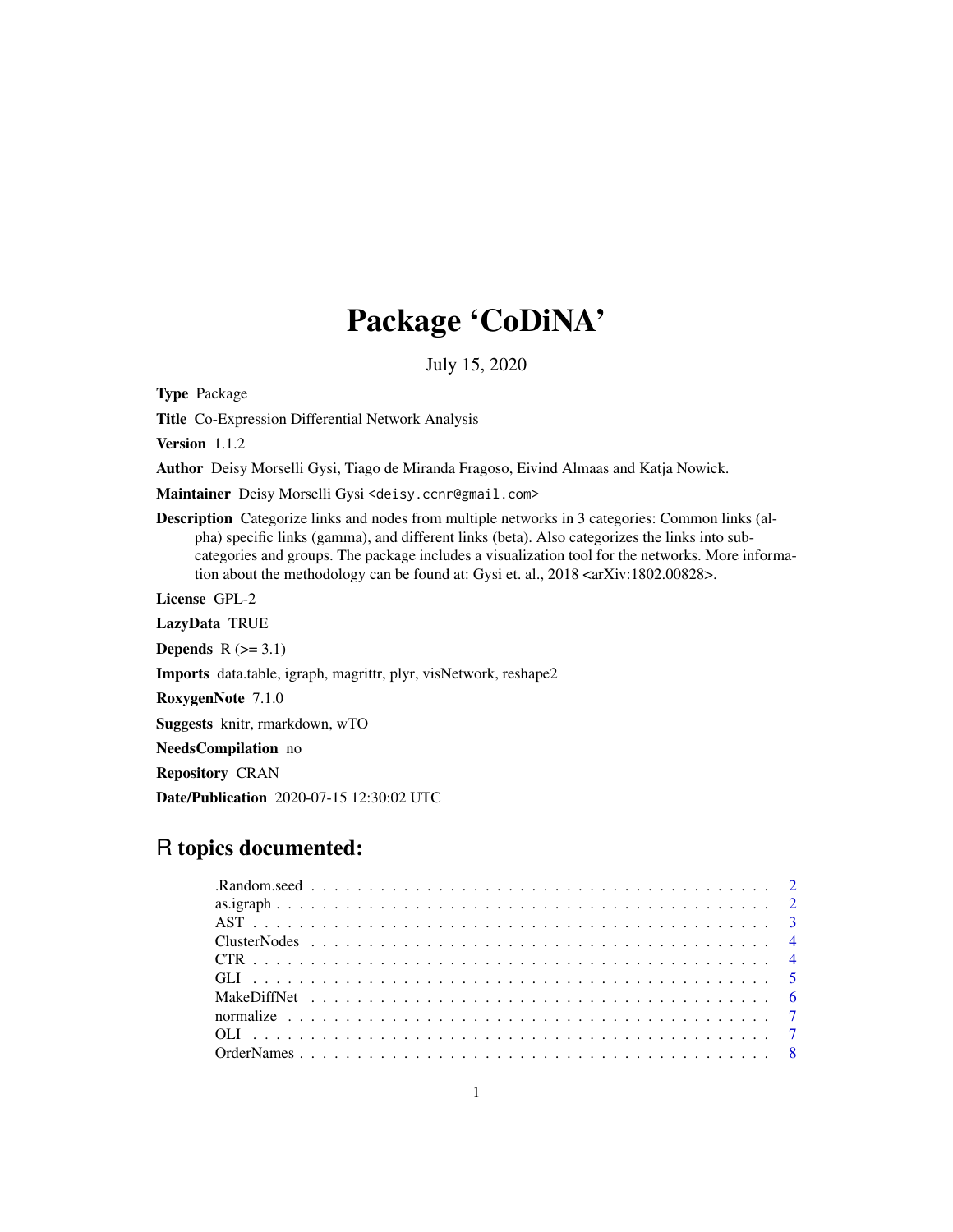## Package 'CoDiNA'

July 15, 2020

Type Package

Title Co-Expression Differential Network Analysis

Version 1.1.2

Author Deisy Morselli Gysi, Tiago de Miranda Fragoso, Eivind Almaas and Katja Nowick.

Maintainer Deisy Morselli Gysi <deisy.ccnr@gmail.com>

Description Categorize links and nodes from multiple networks in 3 categories: Common links (alpha) specific links (gamma), and different links (beta). Also categorizes the links into subcategories and groups. The package includes a visualization tool for the networks. More information about the methodology can be found at: Gysi et. al., 2018 <arXiv:1802.00828>.

License GPL-2

LazyData TRUE

**Depends**  $R$  ( $>= 3.1$ )

Imports data.table, igraph, magrittr, plyr, visNetwork, reshape2

RoxygenNote 7.1.0

Suggests knitr, rmarkdown, wTO

NeedsCompilation no

Repository CRAN

Date/Publication 2020-07-15 12:30:02 UTC

## R topics documented: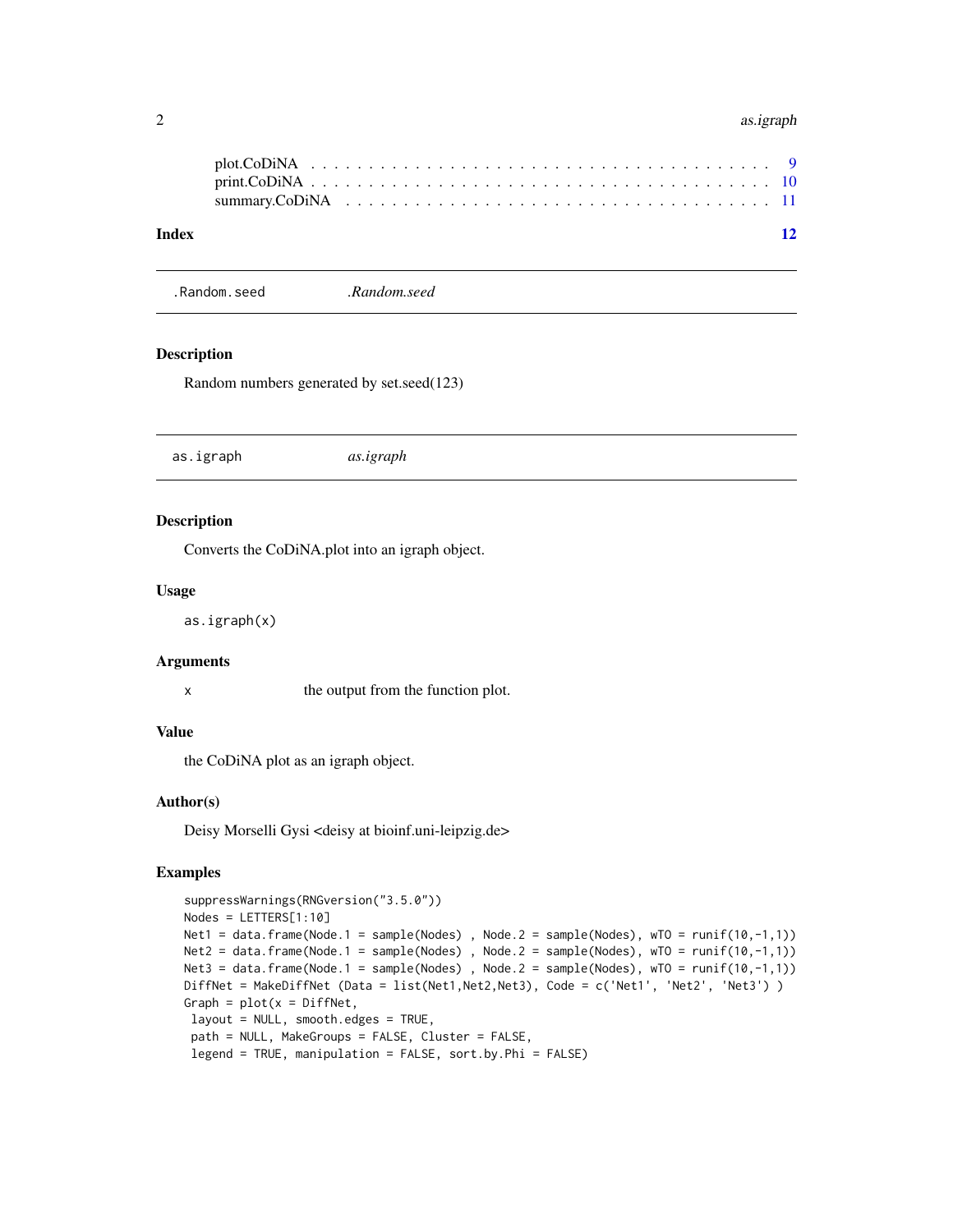#### <span id="page-1-0"></span>2 as.igraph

.Random.seed *.Random.seed*

#### Description

Random numbers generated by set.seed(123)

as.igraph *as.igraph*

#### Description

Converts the CoDiNA.plot into an igraph object.

#### Usage

as.igraph(x)

#### Arguments

x the output from the function plot.

#### Value

the CoDiNA plot as an igraph object.

#### Author(s)

Deisy Morselli Gysi <deisy at bioinf.uni-leipzig.de>

```
suppressWarnings(RNGversion("3.5.0"))
Nodes = LETTERS[1:10]
Net1 = data.frame(Node.1 = sample(Nodes), Node.2 = sample(Nodes), wT0 = runif(10,-1,1))
Net2 = data frame(Node.1 = sample(Nodes), Node.2 = sample(Nodes), wTO = runif(10,-1,1)Net3 = data.frame(Node.1 = sample(Nodes), Node.2 = sample(Nodes), wTO = runif(10,-1,1))
DiffNet = MakeDiffNet (Data = list(Net1,Net2,Net3), Code = c('Net1', 'Net2', 'Net3') )
Graph = plot(x = DiffNet,layout = NULL, smooth.edges = TRUE,
 path = NULL, MakeGroups = FALSE, Cluster = FALSE,
 legend = TRUE, manipulation = FALSE, sort.by.Phi = FALSE)
```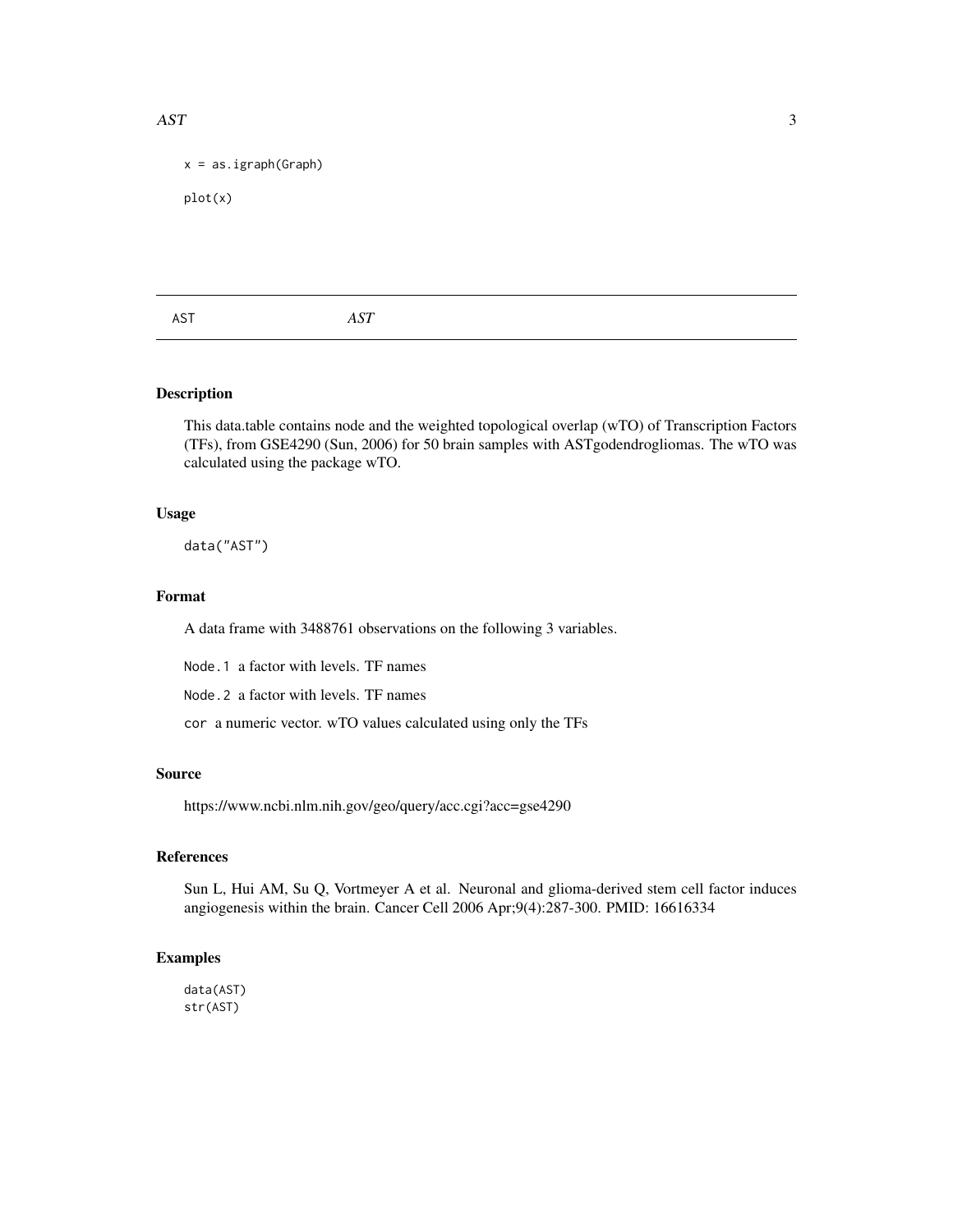#### <span id="page-2-0"></span>AST 3

```
x = as.jpgigraph(Graph)
```
plot(x)

| AST<br>AST |
|------------|
|------------|

#### Description

This data.table contains node and the weighted topological overlap (wTO) of Transcription Factors (TFs), from GSE4290 (Sun, 2006) for 50 brain samples with ASTgodendrogliomas. The wTO was calculated using the package wTO.

#### Usage

data("AST")

#### Format

A data frame with 3488761 observations on the following 3 variables.

Node.1 a factor with levels. TF names

Node.2 a factor with levels. TF names

cor a numeric vector. wTO values calculated using only the TFs

#### Source

https://www.ncbi.nlm.nih.gov/geo/query/acc.cgi?acc=gse4290

#### References

Sun L, Hui AM, Su Q, Vortmeyer A et al. Neuronal and glioma-derived stem cell factor induces angiogenesis within the brain. Cancer Cell 2006 Apr;9(4):287-300. PMID: 16616334

#### Examples

data(AST) str(AST)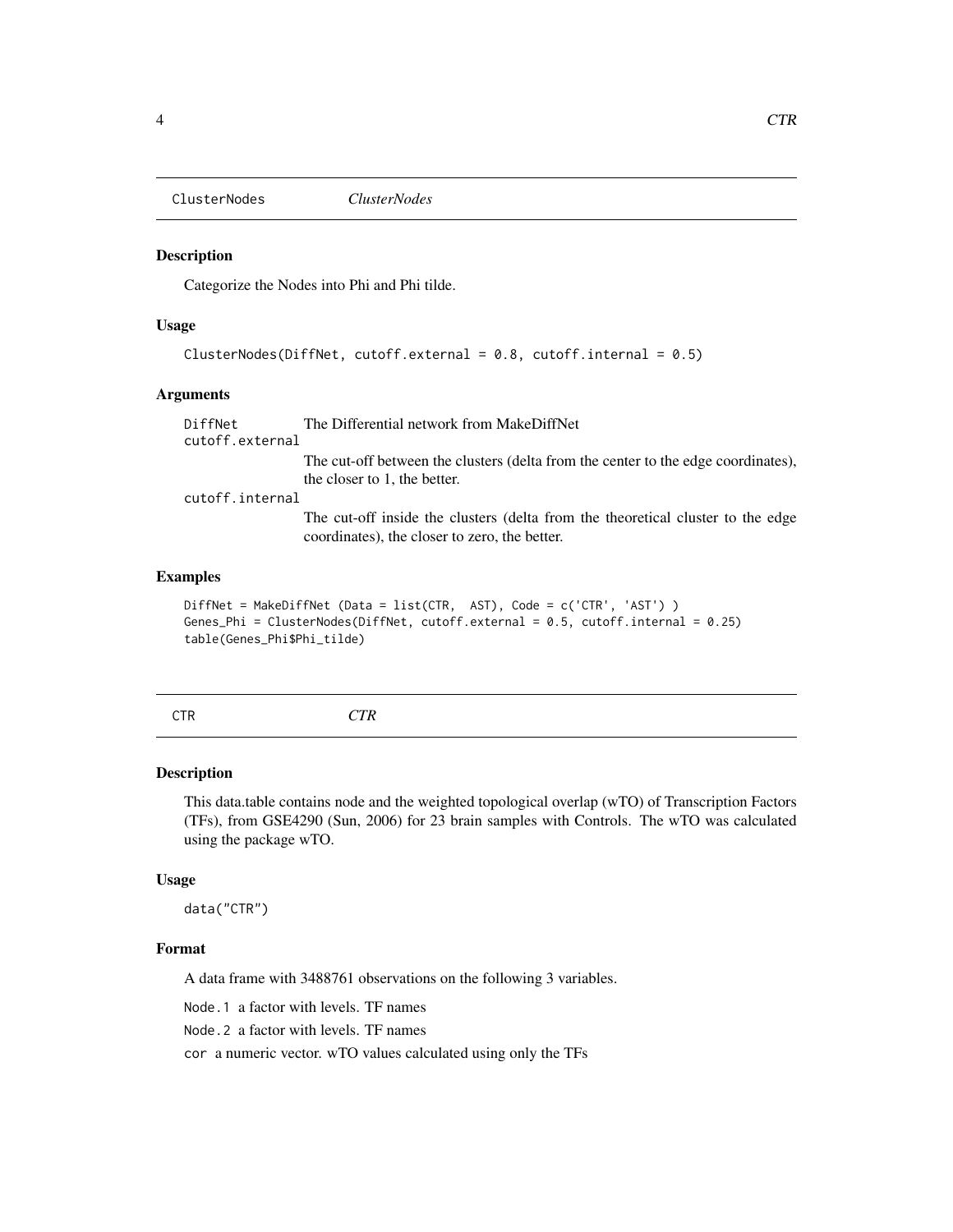<span id="page-3-0"></span>ClusterNodes *ClusterNodes*

#### Description

Categorize the Nodes into Phi and Phi tilde.

#### Usage

```
ClusterNodes(DiffNet, cutoff.external = 0.8, cutoff.internal = 0.5)
```
#### Arguments

DiffNet The Differential network from MakeDiffNet cutoff.external The cut-off between the clusters (delta from the center to the edge coordinates), the closer to 1, the better. cutoff.internal The cut-off inside the clusters (delta from the theoretical cluster to the edge coordinates), the closer to zero, the better.

#### Examples

```
DiffNet = MakeDiffNet (Data = list(CTR, AST), Code = c('CTR', 'AST') )
Genes_Phi = ClusterNodes(DiffNet, cutoff.external = 0.5, cutoff.internal = 0.25)
table(Genes_Phi$Phi_tilde)
```

| I                    |  |
|----------------------|--|
|                      |  |
| ×<br>۰.<br>. .<br>۰. |  |

CTR *CTR*

#### Description

This data.table contains node and the weighted topological overlap (wTO) of Transcription Factors (TFs), from GSE4290 (Sun, 2006) for 23 brain samples with Controls. The wTO was calculated using the package wTO.

#### Usage

data("CTR")

#### Format

A data frame with 3488761 observations on the following 3 variables.

Node.1 a factor with levels. TF names

Node.2 a factor with levels. TF names

cor a numeric vector. wTO values calculated using only the TFs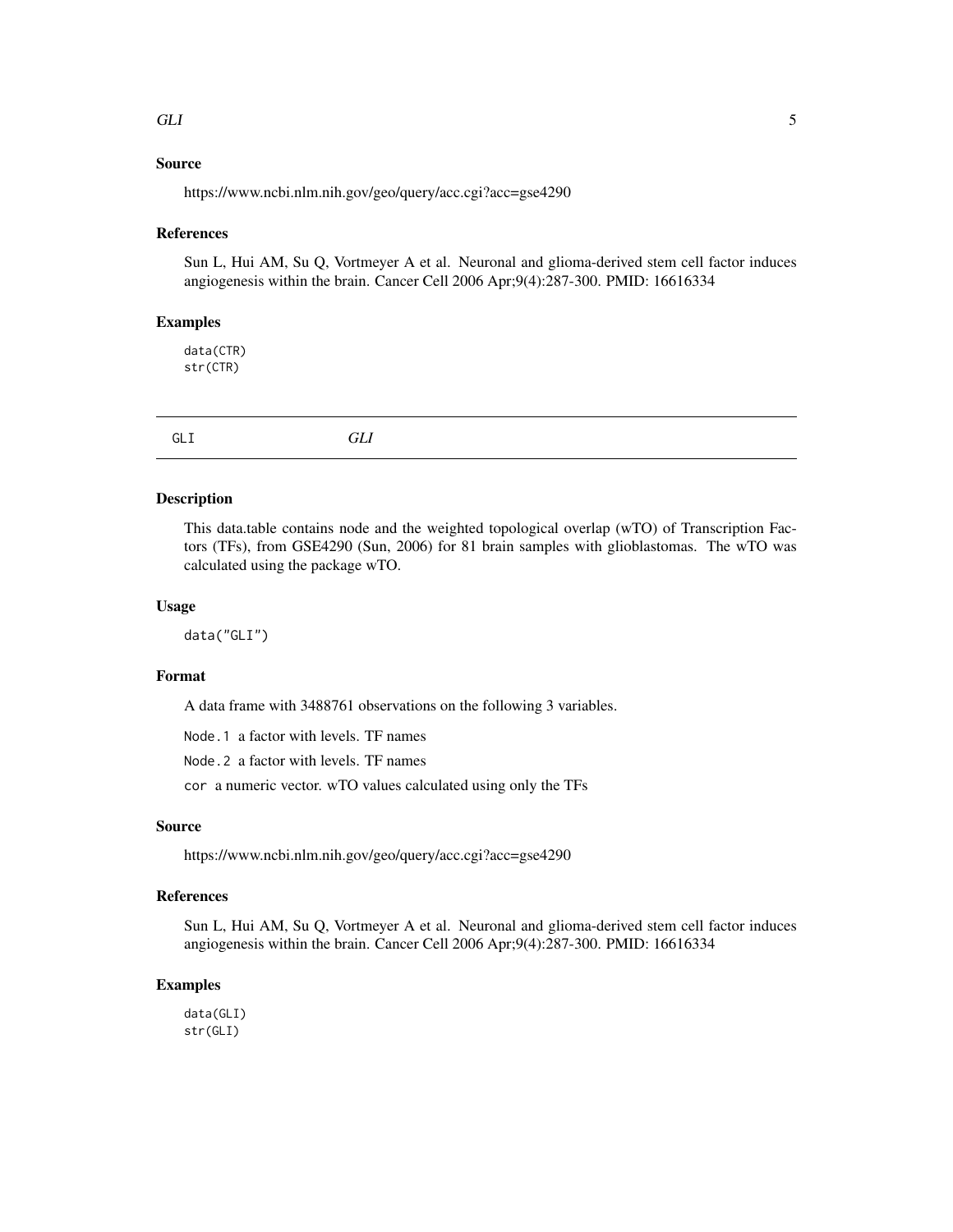#### <span id="page-4-0"></span> $GLI$  5

#### Source

https://www.ncbi.nlm.nih.gov/geo/query/acc.cgi?acc=gse4290

#### References

Sun L, Hui AM, Su Q, Vortmeyer A et al. Neuronal and glioma-derived stem cell factor induces angiogenesis within the brain. Cancer Cell 2006 Apr;9(4):287-300. PMID: 16616334

#### Examples

data(CTR) str(CTR)

GLI *GLI*

#### Description

This data.table contains node and the weighted topological overlap (wTO) of Transcription Factors (TFs), from GSE4290 (Sun, 2006) for 81 brain samples with glioblastomas. The wTO was calculated using the package wTO.

#### Usage

data("GLI")

#### Format

A data frame with 3488761 observations on the following 3 variables.

Node.1 a factor with levels. TF names

Node.2 a factor with levels. TF names

cor a numeric vector. wTO values calculated using only the TFs

#### Source

https://www.ncbi.nlm.nih.gov/geo/query/acc.cgi?acc=gse4290

#### References

Sun L, Hui AM, Su Q, Vortmeyer A et al. Neuronal and glioma-derived stem cell factor induces angiogenesis within the brain. Cancer Cell 2006 Apr;9(4):287-300. PMID: 16616334

#### Examples

data(GLI) str(GLI)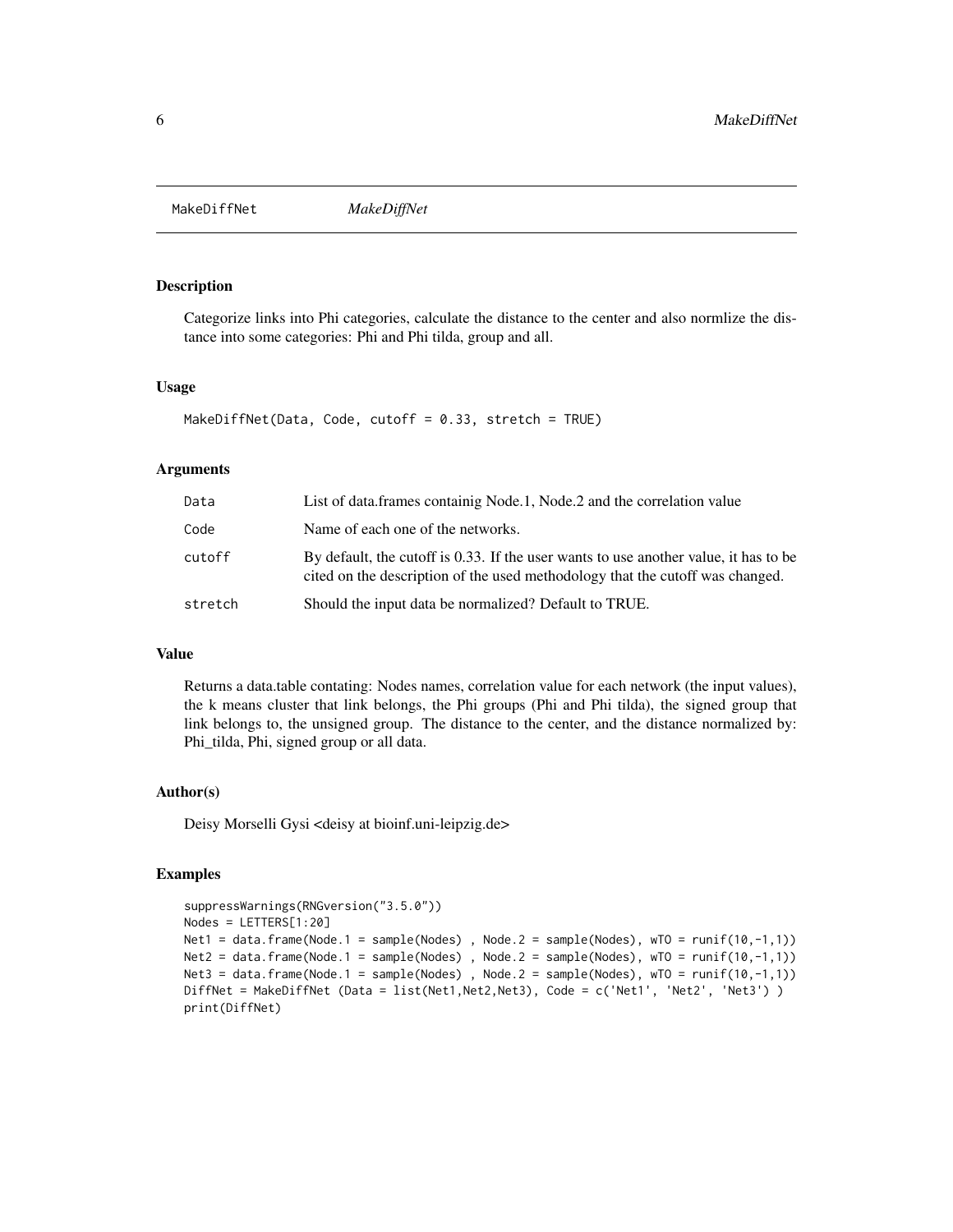<span id="page-5-0"></span>MakeDiffNet *MakeDiffNet*

#### Description

Categorize links into Phi categories, calculate the distance to the center and also normlize the distance into some categories: Phi and Phi tilda, group and all.

#### Usage

```
MakeDiffNet(Data, Code, cutoff = 0.33, stretch = TRUE)
```
#### Arguments

| Data    | List of data. frames containig Node. 1, Node. 2 and the correlation value                                                                                             |
|---------|-----------------------------------------------------------------------------------------------------------------------------------------------------------------------|
| Code    | Name of each one of the networks.                                                                                                                                     |
| cutoff  | By default, the cutoff is 0.33. If the user wants to use another value, it has to be<br>cited on the description of the used methodology that the cutoff was changed. |
| stretch | Should the input data be normalized? Default to TRUE.                                                                                                                 |

#### Value

Returns a data.table contating: Nodes names, correlation value for each network (the input values), the k means cluster that link belongs, the Phi groups (Phi and Phi tilda), the signed group that link belongs to, the unsigned group. The distance to the center, and the distance normalized by: Phi\_tilda, Phi, signed group or all data.

#### Author(s)

Deisy Morselli Gysi <deisy at bioinf.uni-leipzig.de>

```
suppressWarnings(RNGversion("3.5.0"))
Nodes = LETTERS[1:20]
Net1 = data.frame(Node.1 = sample(Nodes), Node.2 = sample(Nodes), wT0 = runif(10,-1,1))
Net2 = data frame(Node.1 = sample(Nodes) , Node.2 = sample(Nodes), wTO = runif(10, -1, 1))Net3 = data.frame(Node.1 = sample(Nodes), Node.2 = sample(Nodes), wTO = runif(10,-1,1))
DiffNet = MakeDiffNet (Data = list(Net1,Net2,Net3), Code = c('Net1', 'Net2', 'Net3') )
print(DiffNet)
```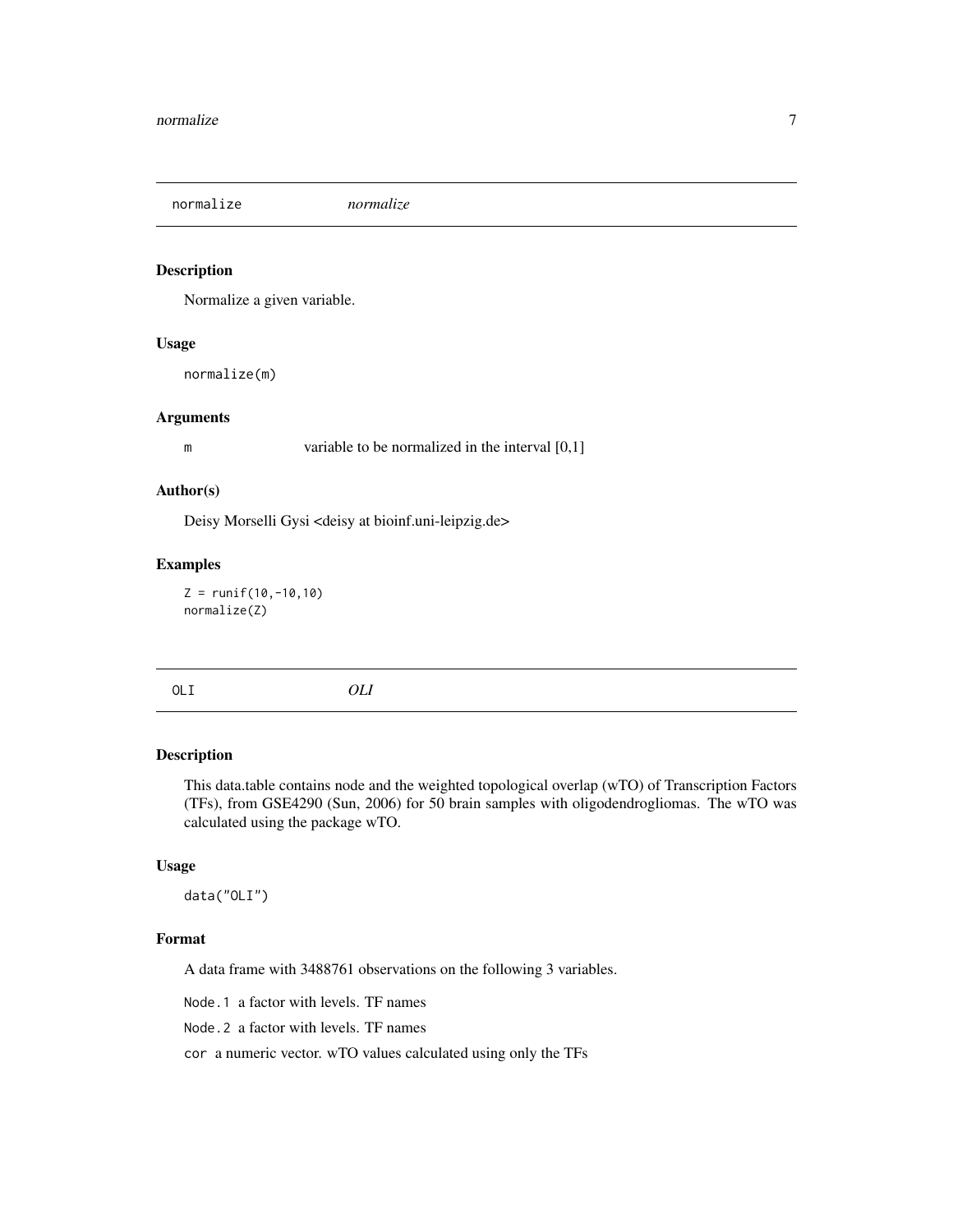<span id="page-6-0"></span>normalize *normalize*

#### Description

Normalize a given variable.

#### Usage

normalize(m)

#### Arguments

m variable to be normalized in the interval [0,1]

#### Author(s)

Deisy Morselli Gysi <deisy at bioinf.uni-leipzig.de>

#### Examples

 $Z = runif(10, -10, 10)$ normalize(Z)

| I<br>$\sim$ |  |
|-------------|--|

OLI *OLI*

#### Description

This data.table contains node and the weighted topological overlap (wTO) of Transcription Factors (TFs), from GSE4290 (Sun, 2006) for 50 brain samples with oligodendrogliomas. The wTO was calculated using the package wTO.

#### Usage

data("OLI")

#### Format

A data frame with 3488761 observations on the following 3 variables.

Node.1 a factor with levels. TF names

Node.2 a factor with levels. TF names

cor a numeric vector. wTO values calculated using only the TFs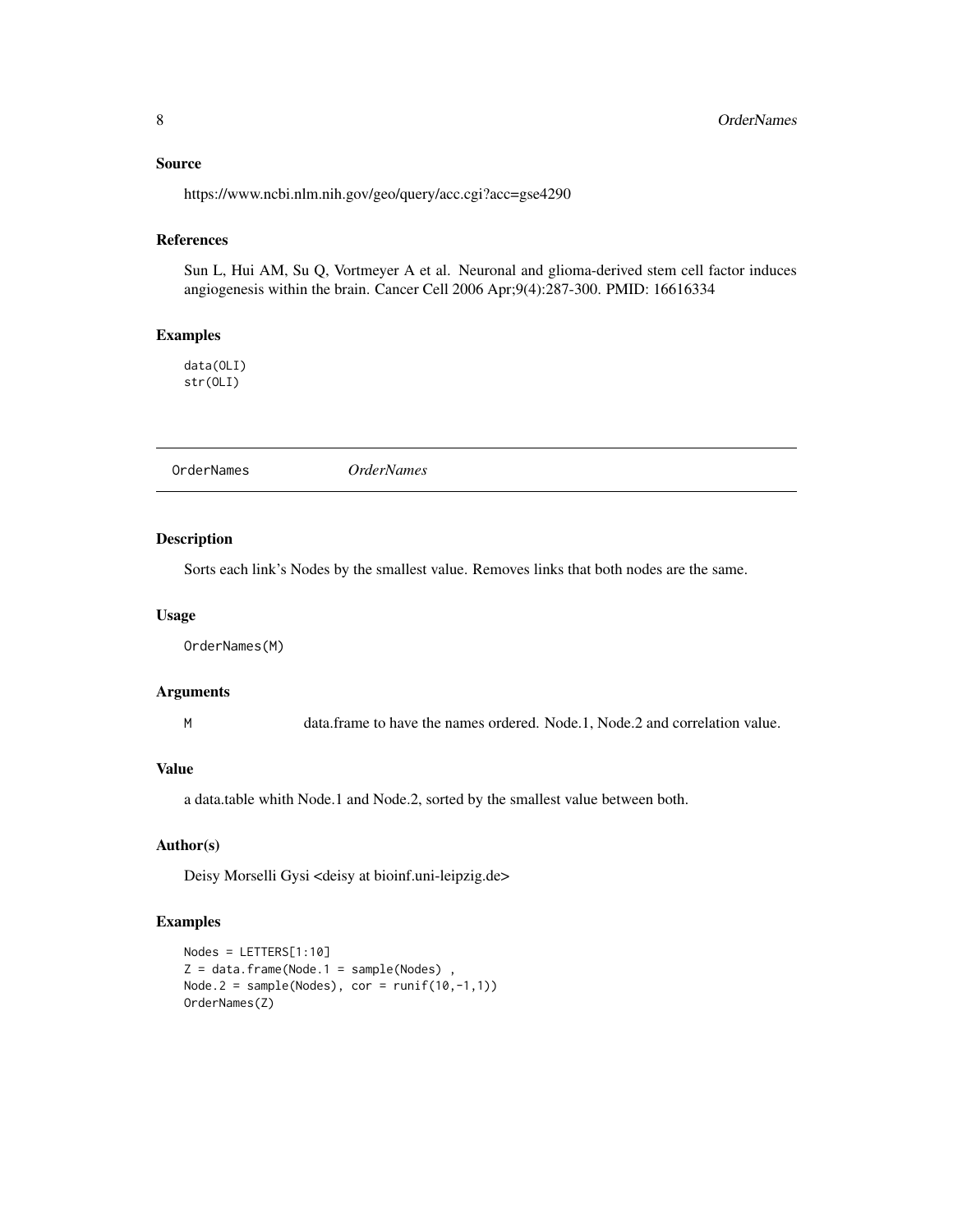#### <span id="page-7-0"></span>Source

https://www.ncbi.nlm.nih.gov/geo/query/acc.cgi?acc=gse4290

### References

Sun L, Hui AM, Su Q, Vortmeyer A et al. Neuronal and glioma-derived stem cell factor induces angiogenesis within the brain. Cancer Cell 2006 Apr;9(4):287-300. PMID: 16616334

#### Examples

data(OLI) str(OLI)

OrderNames *OrderNames*

#### Description

Sorts each link's Nodes by the smallest value. Removes links that both nodes are the same.

#### Usage

OrderNames(M)

#### Arguments

M data.frame to have the names ordered. Node.1, Node.2 and correlation value.

#### Value

a data.table whith Node.1 and Node.2, sorted by the smallest value between both.

#### Author(s)

Deisy Morselli Gysi <deisy at bioinf.uni-leipzig.de>

```
Nodes = LETTERS[1:10]
Z = data. frame(Node.1 = sample(Nodes),
Node.2 = sample(Nodes), cor = runif(10,-1,1))OrderNames(Z)
```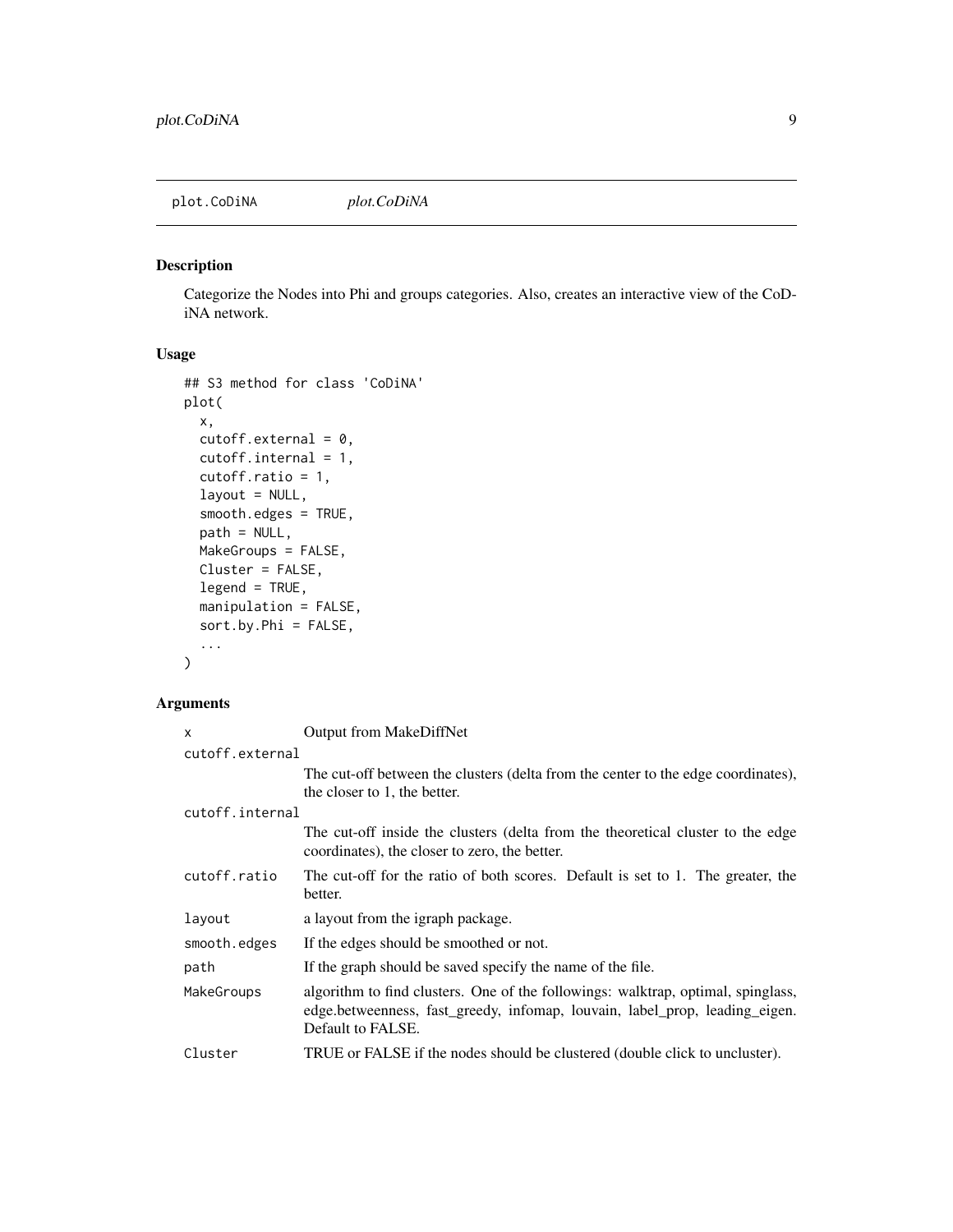<span id="page-8-0"></span>plot.CoDiNA *plot.CoDiNA*

#### Description

Categorize the Nodes into Phi and groups categories. Also, creates an interactive view of the CoDiNA network.

#### Usage

```
## S3 method for class 'CoDiNA'
plot(
 x,
 cutoff. external = 0,cutoff.internal = 1,
  cutoff.ratio = 1,
  layout = NULL,
  smooth.edges = TRUE,
  path = NULL,
 MakeGroups = FALSE,
 Cluster = FALSE,
  legend = TRUE,manipulation = FALSE,
  sort.by.Phi = FALSE,
  ...
)
```
#### Arguments

| X               | <b>Output from MakeDiffNet</b>                                                                                                                                                       |
|-----------------|--------------------------------------------------------------------------------------------------------------------------------------------------------------------------------------|
| cutoff.external |                                                                                                                                                                                      |
|                 | The cut-off between the clusters (delta from the center to the edge coordinates),                                                                                                    |
|                 | the closer to 1, the better.                                                                                                                                                         |
| cutoff.internal |                                                                                                                                                                                      |
|                 | The cut-off inside the clusters (delta from the theoretical cluster to the edge<br>coordinates), the closer to zero, the better.                                                     |
| cutoff.ratio    | The cut-off for the ratio of both scores. Default is set to 1. The greater, the<br>better.                                                                                           |
| layout          | a layout from the igraph package.                                                                                                                                                    |
| smooth.edges    | If the edges should be smoothed or not.                                                                                                                                              |
| path            | If the graph should be saved specify the name of the file.                                                                                                                           |
| MakeGroups      | algorithm to find clusters. One of the followings: walktrap, optimal, spinglass,<br>edge.betweenness, fast_greedy, infomap, louvain, label_prop, leading_eigen.<br>Default to FALSE. |
| Cluster         | TRUE or FALSE if the nodes should be clustered (double click to uncluster).                                                                                                          |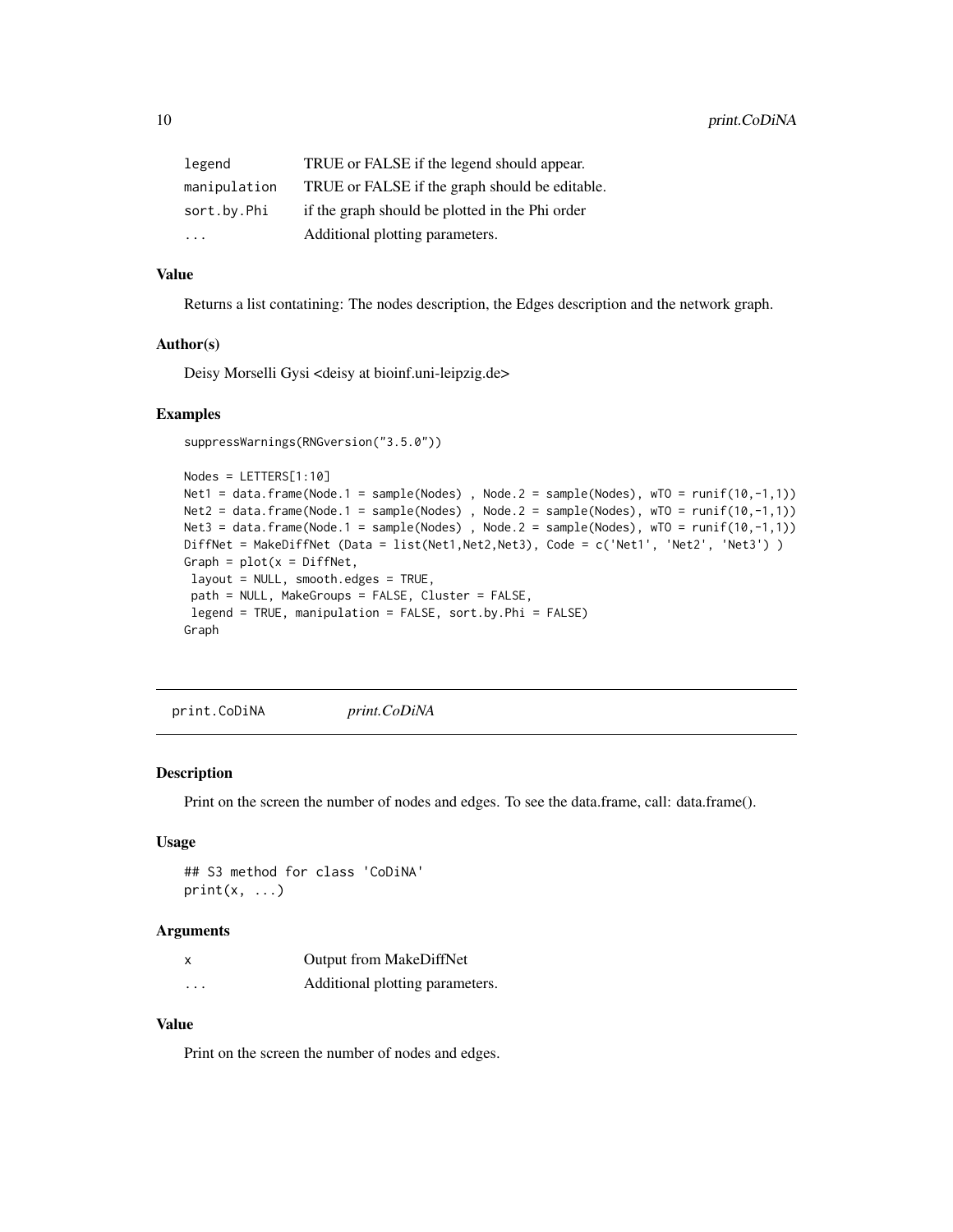<span id="page-9-0"></span>

| legend       | TRUE or FALSE if the legend should appear.      |
|--------------|-------------------------------------------------|
| manipulation | TRUE or FALSE if the graph should be editable.  |
| sort.by.Phi  | if the graph should be plotted in the Phi order |
| $\ddotsc$    | Additional plotting parameters.                 |

#### Value

Returns a list contatining: The nodes description, the Edges description and the network graph.

#### Author(s)

Deisy Morselli Gysi <deisy at bioinf.uni-leipzig.de>

#### Examples

```
suppressWarnings(RNGversion("3.5.0"))
```

```
Nodes = LETTERS[1:10]
Net1 = data.frame(Node.1 = sample(Nodes) , Node.2 = sample(Nodes), wTO = runif(10,-1,1))
Net2 = data.frame(Node.1 = sample(Nodes) , Node.2 = sample(Nodes), wTO = runif(10,-1,1))
Net3 = data frame(Node.1 = sample(Nodes) , Node.2 = sample(Nodes), wTO = runif(10, -1, 1))DiffNet = MakeDiffNet (Data = list(Net1,Net2,Net3), Code = c('Net1', 'Net2', 'Net3') )
Graph = plot(x = DiffNet,layout = NULL, smooth.edges = TRUE,
path = NULL, MakeGroups = FALSE, Cluster = FALSE,
legend = TRUE, manipulation = FALSE, sort.by.Phi = FALSE)
Graph
```
print.CoDiNA *print.CoDiNA*

#### Description

Print on the screen the number of nodes and edges. To see the data.frame, call: data.frame().

#### Usage

```
## S3 method for class 'CoDiNA'
print(x, \ldots)
```
#### Arguments

| X                 | Output from MakeDiffNet         |
|-------------------|---------------------------------|
| $\cdot\cdot\cdot$ | Additional plotting parameters. |

#### Value

Print on the screen the number of nodes and edges.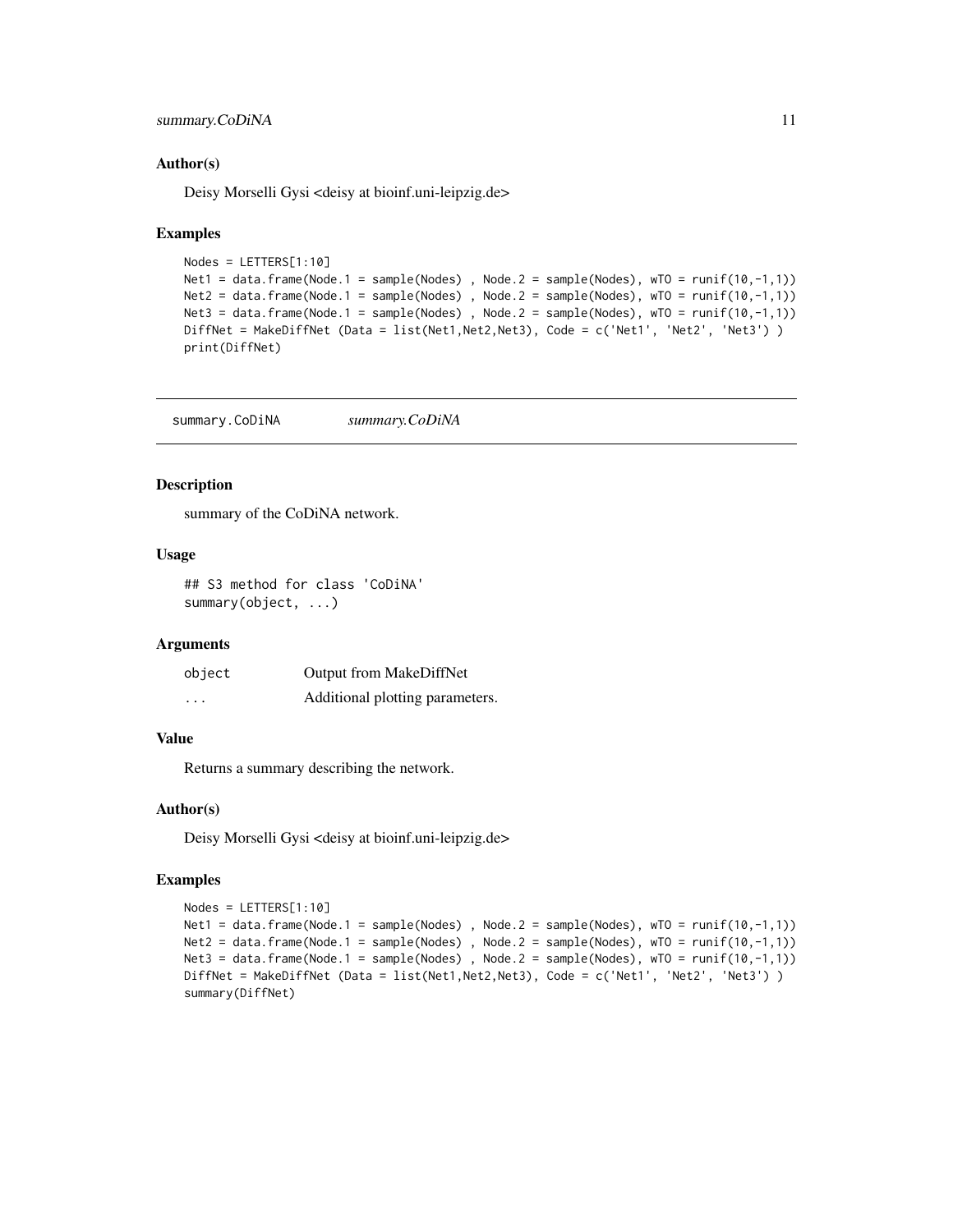#### <span id="page-10-0"></span>summary.CoDiNA 11

#### Author(s)

Deisy Morselli Gysi <deisy at bioinf.uni-leipzig.de>

#### Examples

```
Nodes = LETTERS[1:10]
Net1 = data.frame(Node.1 = sample(Nodes) , Node.2 = sample(Nodes), wTO = runif(10,-1,1))
Net2 = data.frame(Node.1 = sample(Nodes) , Node.2 = sample(Nodes), wTO = runif(10,-1,1))
Net3 = data frame(Node.1 = sample(Nodes), Node.2 = sample(Nodes), W0 = runif(10, -1, 1)DiffNet = MakeDiffNet (Data = list(Net1,Net2,Net3), Code = c('Net1', 'Net2', 'Net3') )
print(DiffNet)
```
summary.CoDiNA *summary.CoDiNA*

#### Description

summary of the CoDiNA network.

#### Usage

```
## S3 method for class 'CoDiNA'
summary(object, ...)
```
#### Arguments

| object   | <b>Output from MakeDiffNet</b>  |
|----------|---------------------------------|
| $\cdots$ | Additional plotting parameters. |

#### Value

Returns a summary describing the network.

#### Author(s)

Deisy Morselli Gysi <deisy at bioinf.uni-leipzig.de>

```
Nodes = LETTERS[1:10]
Net1 = data frame(Node.1 = sample(Nodes), Node.2 = sample(Nodes), W = new(10, -1, 1)Net2 = data frame(Node.1 = sample(Nodes) , Node.2 = sample(Nodes), wTO = runif(10, -1, 1))Net3 = data frame(Node.1 = sample(Nodes), Node.2 = sample(Nodes), W = new(10, -1, 1)DiffNet = MakeDiffNet (Data = list(Net1,Net2,Net3), Code = c('Net1', 'Net2', 'Net3') )
summary(DiffNet)
```